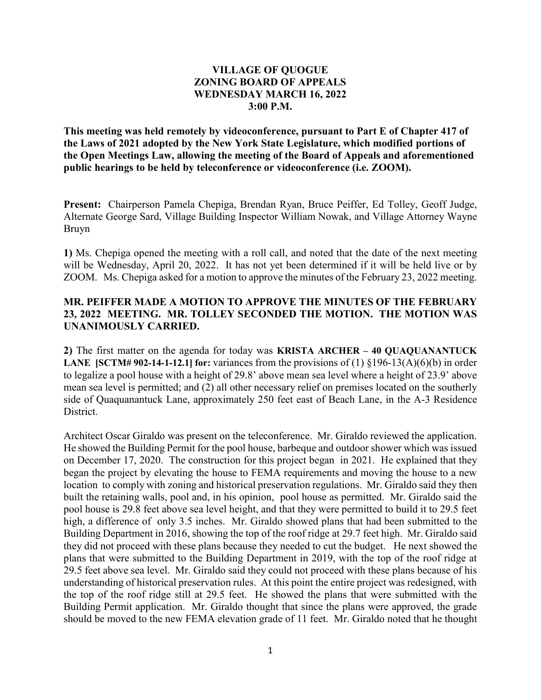## **VILLAGE OF QUOGUE ZONING BOARD OF APPEALS WEDNESDAY MARCH 16, 2022 3:00 P.M.**

**This meeting was held remotely by videoconference, pursuant to Part E of Chapter 417 of the Laws of 2021 adopted by the New York State Legislature, which modified portions of the Open Meetings Law, allowing the meeting of the Board of Appeals and aforementioned public hearings to be held by teleconference or videoconference (i.e. ZOOM).** 

**Present:** Chairperson Pamela Chepiga, Brendan Ryan, Bruce Peiffer, Ed Tolley, Geoff Judge, Alternate George Sard, Village Building Inspector William Nowak, and Village Attorney Wayne Bruyn

**1)** Ms. Chepiga opened the meeting with a roll call, and noted that the date of the next meeting will be Wednesday, April 20, 2022. It has not yet been determined if it will be held live or by ZOOM. Ms. Chepiga asked for a motion to approve the minutes of the February 23, 2022 meeting.

## **MR. PEIFFER MADE A MOTION TO APPROVE THE MINUTES OF THE FEBRUARY 23, 2022 MEETING. MR. TOLLEY SECONDED THE MOTION. THE MOTION WAS UNANIMOUSLY CARRIED.**

**2)** The first matter on the agenda for today was **KRISTA ARCHER – 40 QUAQUANANTUCK LANE [SCTM# 902-14-1-12.1] for:** variances from the provisions of (1)  $\S196-13(A)(6)(b)$  in order to legalize a pool house with a height of 29.8' above mean sea level where a height of 23.9' above mean sea level is permitted; and (2) all other necessary relief on premises located on the southerly side of Quaquanantuck Lane, approximately 250 feet east of Beach Lane, in the A-3 Residence District.

Architect Oscar Giraldo was present on the teleconference. Mr. Giraldo reviewed the application. He showed the Building Permit for the pool house, barbeque and outdoor shower which was issued on December 17, 2020. The construction for this project began in 2021. He explained that they began the project by elevating the house to FEMA requirements and moving the house to a new location to comply with zoning and historical preservation regulations. Mr. Giraldo said they then built the retaining walls, pool and, in his opinion, pool house as permitted. Mr. Giraldo said the pool house is 29.8 feet above sea level height, and that they were permitted to build it to 29.5 feet high, a difference of only 3.5 inches. Mr. Giraldo showed plans that had been submitted to the Building Department in 2016, showing the top of the roof ridge at 29.7 feet high. Mr. Giraldo said they did not proceed with these plans because they needed to cut the budget. He next showed the plans that were submitted to the Building Department in 2019, with the top of the roof ridge at 29.5 feet above sea level. Mr. Giraldo said they could not proceed with these plans because of his understanding of historical preservation rules. At this point the entire project was redesigned, with the top of the roof ridge still at 29.5 feet. He showed the plans that were submitted with the Building Permit application. Mr. Giraldo thought that since the plans were approved, the grade should be moved to the new FEMA elevation grade of 11 feet. Mr. Giraldo noted that he thought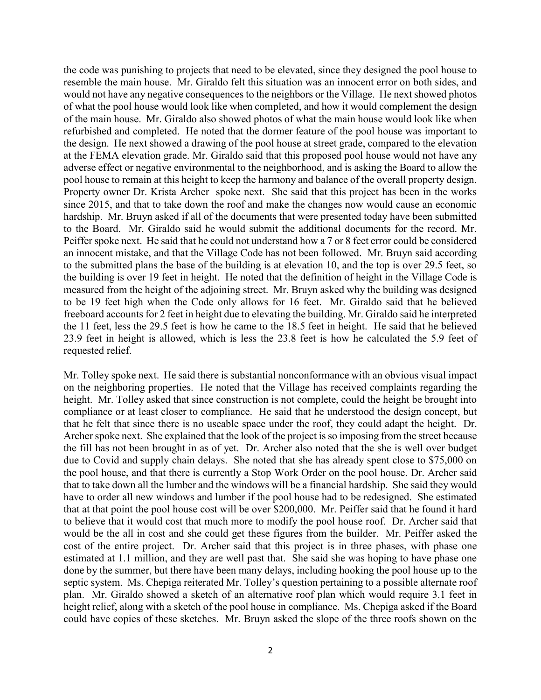the code was punishing to projects that need to be elevated, since they designed the pool house to resemble the main house. Mr. Giraldo felt this situation was an innocent error on both sides, and would not have any negative consequences to the neighbors or the Village. He next showed photos of what the pool house would look like when completed, and how it would complement the design of the main house. Mr. Giraldo also showed photos of what the main house would look like when refurbished and completed. He noted that the dormer feature of the pool house was important to the design. He next showed a drawing of the pool house at street grade, compared to the elevation at the FEMA elevation grade. Mr. Giraldo said that this proposed pool house would not have any adverse effect or negative environmental to the neighborhood, and is asking the Board to allow the pool house to remain at this height to keep the harmony and balance of the overall property design. Property owner Dr. Krista Archer spoke next. She said that this project has been in the works since 2015, and that to take down the roof and make the changes now would cause an economic hardship. Mr. Bruyn asked if all of the documents that were presented today have been submitted to the Board. Mr. Giraldo said he would submit the additional documents for the record. Mr. Peiffer spoke next. He said that he could not understand how a 7 or 8 feet error could be considered an innocent mistake, and that the Village Code has not been followed. Mr. Bruyn said according to the submitted plans the base of the building is at elevation 10, and the top is over 29.5 feet, so the building is over 19 feet in height. He noted that the definition of height in the Village Code is measured from the height of the adjoining street. Mr. Bruyn asked why the building was designed to be 19 feet high when the Code only allows for 16 feet. Mr. Giraldo said that he believed freeboard accounts for 2 feet in height due to elevating the building. Mr. Giraldo said he interpreted the 11 feet, less the 29.5 feet is how he came to the 18.5 feet in height. He said that he believed 23.9 feet in height is allowed, which is less the 23.8 feet is how he calculated the 5.9 feet of requested relief.

Mr. Tolley spoke next. He said there is substantial nonconformance with an obvious visual impact on the neighboring properties. He noted that the Village has received complaints regarding the height. Mr. Tolley asked that since construction is not complete, could the height be brought into compliance or at least closer to compliance. He said that he understood the design concept, but that he felt that since there is no useable space under the roof, they could adapt the height. Dr. Archer spoke next. She explained that the look of the project is so imposing from the street because the fill has not been brought in as of yet. Dr. Archer also noted that the she is well over budget due to Covid and supply chain delays. She noted that she has already spent close to \$75,000 on the pool house, and that there is currently a Stop Work Order on the pool house. Dr. Archer said that to take down all the lumber and the windows will be a financial hardship. She said they would have to order all new windows and lumber if the pool house had to be redesigned. She estimated that at that point the pool house cost will be over \$200,000. Mr. Peiffer said that he found it hard to believe that it would cost that much more to modify the pool house roof. Dr. Archer said that would be the all in cost and she could get these figures from the builder. Mr. Peiffer asked the cost of the entire project. Dr. Archer said that this project is in three phases, with phase one estimated at 1.1 million, and they are well past that. She said she was hoping to have phase one done by the summer, but there have been many delays, including hooking the pool house up to the septic system. Ms. Chepiga reiterated Mr. Tolley's question pertaining to a possible alternate roof plan. Mr. Giraldo showed a sketch of an alternative roof plan which would require 3.1 feet in height relief, along with a sketch of the pool house in compliance. Ms. Chepiga asked if the Board could have copies of these sketches. Mr. Bruyn asked the slope of the three roofs shown on the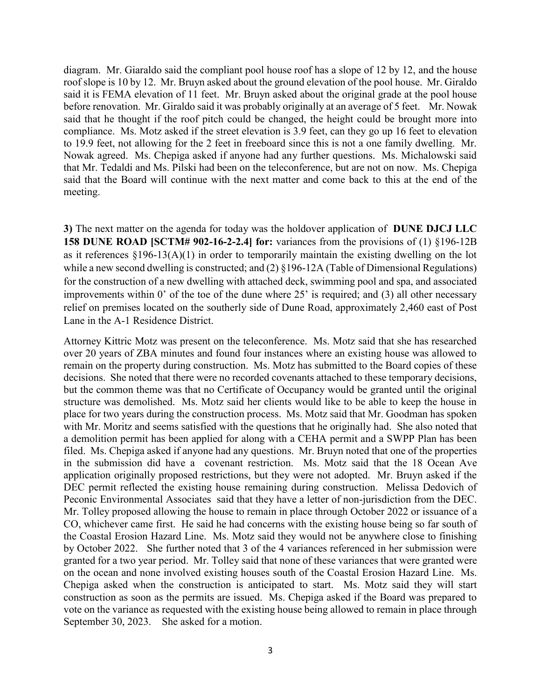diagram. Mr. Giaraldo said the compliant pool house roof has a slope of 12 by 12, and the house roof slope is 10 by 12. Mr. Bruyn asked about the ground elevation of the pool house. Mr. Giraldo said it is FEMA elevation of 11 feet. Mr. Bruyn asked about the original grade at the pool house before renovation. Mr. Giraldo said it was probably originally at an average of 5 feet. Mr. Nowak said that he thought if the roof pitch could be changed, the height could be brought more into compliance. Ms. Motz asked if the street elevation is 3.9 feet, can they go up 16 feet to elevation to 19.9 feet, not allowing for the 2 feet in freeboard since this is not a one family dwelling. Mr. Nowak agreed. Ms. Chepiga asked if anyone had any further questions. Ms. Michalowski said that Mr. Tedaldi and Ms. Pilski had been on the teleconference, but are not on now. Ms. Chepiga said that the Board will continue with the next matter and come back to this at the end of the meeting.

**3)** The next matter on the agenda for today was the holdover application of **DUNE DJCJ LLC 158 DUNE ROAD [SCTM# 902-16-2-2.4] for:** variances from the provisions of (1) §196-12B as it references §196-13(A)(1) in order to temporarily maintain the existing dwelling on the lot while a new second dwelling is constructed; and (2) §196-12A (Table of Dimensional Regulations) for the construction of a new dwelling with attached deck, swimming pool and spa, and associated improvements within 0' of the toe of the dune where 25' is required; and (3) all other necessary relief on premises located on the southerly side of Dune Road, approximately 2,460 east of Post Lane in the A-1 Residence District.

Attorney Kittric Motz was present on the teleconference. Ms. Motz said that she has researched over 20 years of ZBA minutes and found four instances where an existing house was allowed to remain on the property during construction. Ms. Motz has submitted to the Board copies of these decisions. She noted that there were no recorded covenants attached to these temporary decisions, but the common theme was that no Certificate of Occupancy would be granted until the original structure was demolished. Ms. Motz said her clients would like to be able to keep the house in place for two years during the construction process. Ms. Motz said that Mr. Goodman has spoken with Mr. Moritz and seems satisfied with the questions that he originally had. She also noted that a demolition permit has been applied for along with a CEHA permit and a SWPP Plan has been filed. Ms. Chepiga asked if anyone had any questions. Mr. Bruyn noted that one of the properties in the submission did have a covenant restriction. Ms. Motz said that the 18 Ocean Ave application originally proposed restrictions, but they were not adopted. Mr. Bruyn asked if the DEC permit reflected the existing house remaining during construction. Melissa Dedovich of Peconic Environmental Associates said that they have a letter of non-jurisdiction from the DEC. Mr. Tolley proposed allowing the house to remain in place through October 2022 or issuance of a CO, whichever came first. He said he had concerns with the existing house being so far south of the Coastal Erosion Hazard Line. Ms. Motz said they would not be anywhere close to finishing by October 2022. She further noted that 3 of the 4 variances referenced in her submission were granted for a two year period. Mr. Tolley said that none of these variances that were granted were on the ocean and none involved existing houses south of the Coastal Erosion Hazard Line. Ms. Chepiga asked when the construction is anticipated to start. Ms. Motz said they will start construction as soon as the permits are issued. Ms. Chepiga asked if the Board was prepared to vote on the variance as requested with the existing house being allowed to remain in place through September 30, 2023. She asked for a motion.